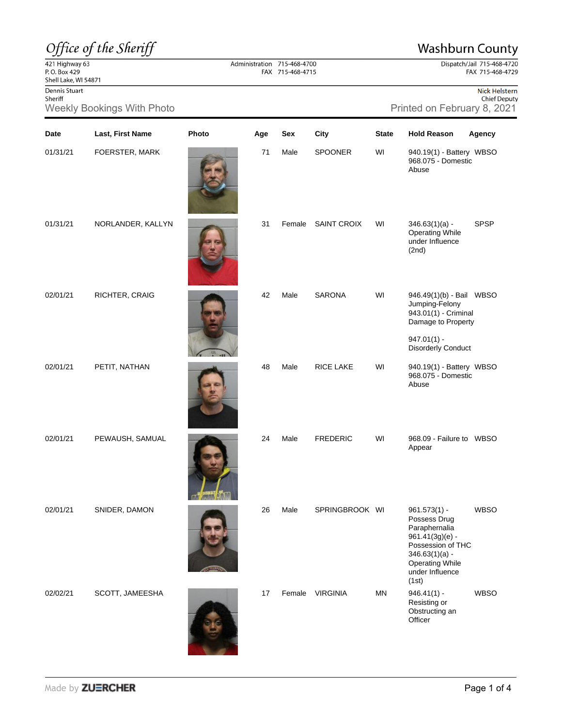## Office of the Sheriff

## **Washburn County**

Dispatch/Jail 715-468-4720 FAX 715-468-4729

## $\frac{22}{421}$  Highway 63<br>P.O. Box 429 Shell Lake, WI 54871

Dennis Stuart Sheriff

Weekly Bookings With Photo **Printed on February 8, 2021** 

| Nick Helstern       |
|---------------------|
| <b>Chief Deputy</b> |

| Date     | Last, First Name  | Photo | Age | Sex    | City               | <b>State</b> | <b>Hold Reason</b>                                                                                                                                                | Agency      |
|----------|-------------------|-------|-----|--------|--------------------|--------------|-------------------------------------------------------------------------------------------------------------------------------------------------------------------|-------------|
| 01/31/21 | FOERSTER, MARK    |       | 71  | Male   | <b>SPOONER</b>     | WI           | 940.19(1) - Battery WBSO<br>968.075 - Domestic<br>Abuse                                                                                                           |             |
| 01/31/21 | NORLANDER, KALLYN |       | 31  | Female | <b>SAINT CROIX</b> | WI           | $346.63(1)(a) -$<br><b>Operating While</b><br>under Influence<br>(2nd)                                                                                            | <b>SPSP</b> |
| 02/01/21 | RICHTER, CRAIG    |       | 42  | Male   | SARONA             | WI           | 946.49(1)(b) - Bail WBSO<br>Jumping-Felony<br>943.01(1) - Criminal<br>Damage to Property<br>$947.01(1) -$<br><b>Disorderly Conduct</b>                            |             |
| 02/01/21 | PETIT, NATHAN     |       | 48  | Male   | RICE LAKE          | WI           | 940.19(1) - Battery WBSO<br>968.075 - Domestic<br>Abuse                                                                                                           |             |
| 02/01/21 | PEWAUSH, SAMUAL   |       | 24  | Male   | <b>FREDERIC</b>    | WI           | 968.09 - Failure to WBSO<br>Appear                                                                                                                                |             |
| 02/01/21 | SNIDER, DAMON     |       | 26  | Male   | SPRINGBROOK WI     |              | $961.573(1) -$<br>Possess Drug<br>Paraphernalia<br>961.41(3g)(e) -<br>Possession of THC<br>$346.63(1)(a) -$<br><b>Operating While</b><br>under Influence<br>(1st) | <b>WBSO</b> |
| 02/02/21 | SCOTT, JAMEESHA   |       | 17  | Female | <b>VIRGINIA</b>    | MN           | $946.41(1) -$<br>Resisting or<br>Obstructing an<br>Officer                                                                                                        | <b>WBSO</b> |

**Chicago** 

Administration 715-468-4700<br>FAX 715-468-4715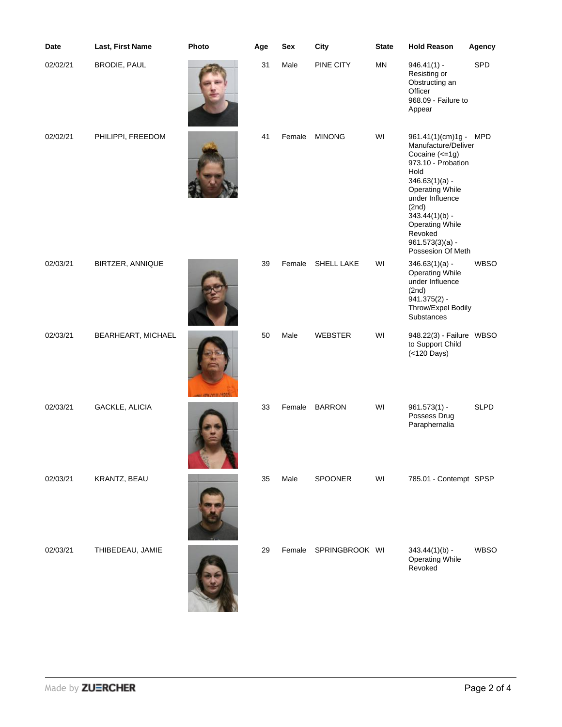| Date     | Last, First Name   | Photo | Age | Sex    | City              | <b>State</b> | <b>Hold Reason</b>                                                                                                                                                                                                                                                         | Agency      |
|----------|--------------------|-------|-----|--------|-------------------|--------------|----------------------------------------------------------------------------------------------------------------------------------------------------------------------------------------------------------------------------------------------------------------------------|-------------|
| 02/02/21 | BRODIE, PAUL       |       | 31  | Male   | PINE CITY         | MN           | $946.41(1) -$<br>Resisting or<br>Obstructing an<br>Officer<br>968.09 - Failure to<br>Appear                                                                                                                                                                                | SPD         |
| 02/02/21 | PHILIPPI, FREEDOM  |       | 41  | Female | <b>MINONG</b>     | WI           | 961.41(1)(cm)1g - MPD<br>Manufacture/Deliver<br>Cocaine (<= 1g)<br>973.10 - Probation<br>Hold<br>$346.63(1)(a) -$<br><b>Operating While</b><br>under Influence<br>(2nd)<br>$343.44(1)(b) -$<br><b>Operating While</b><br>Revoked<br>$961.573(3)(a) -$<br>Possesion Of Meth |             |
| 02/03/21 | BIRTZER, ANNIQUE   |       | 39  | Female | <b>SHELL LAKE</b> | WI           | $346.63(1)(a) -$<br><b>Operating While</b><br>under Influence<br>(2nd)<br>$941.375(2) -$<br>Throw/Expel Bodily<br>Substances                                                                                                                                               | <b>WBSO</b> |
| 02/03/21 | BEARHEART, MICHAEL |       | 50  | Male   | <b>WEBSTER</b>    | WI           | 948.22(3) - Failure WBSO<br>to Support Child<br>(<120 Days)                                                                                                                                                                                                                |             |
| 02/03/21 | GACKLE, ALICIA     |       | 33  | Female | <b>BARRON</b>     | WI           | $961.573(1) -$<br>Possess Drug<br>Paraphernalia                                                                                                                                                                                                                            | <b>SLPD</b> |
| 02/03/21 | KRANTZ, BEAU       |       | 35  | Male   | SPOONER           | WI           | 785.01 - Contempt SPSP                                                                                                                                                                                                                                                     |             |
| 02/03/21 | THIBEDEAU, JAMIE   |       | 29  | Female | SPRINGBROOK WI    |              | $343.44(1)(b) -$<br><b>Operating While</b><br>Revoked                                                                                                                                                                                                                      | <b>WBSO</b> |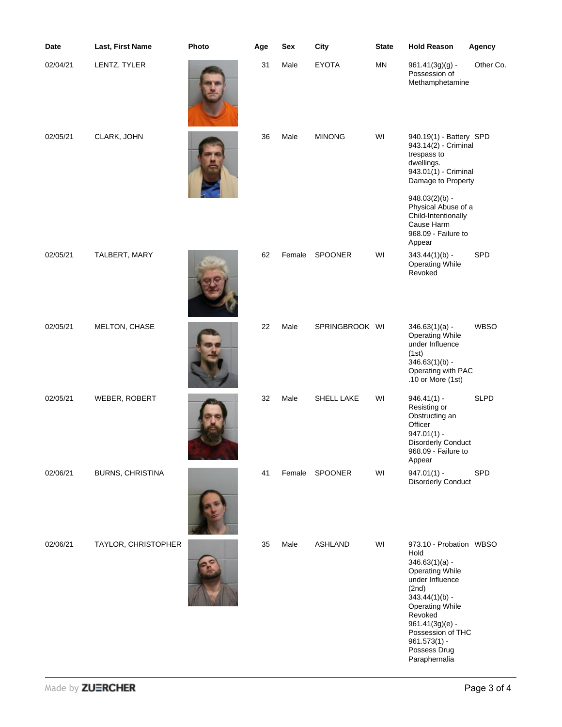| Date     | Last, First Name        | Photo | Age | Sex    | City           | <b>State</b> | <b>Hold Reason</b>                                                                                                                                                                                                                                              | Agency      |
|----------|-------------------------|-------|-----|--------|----------------|--------------|-----------------------------------------------------------------------------------------------------------------------------------------------------------------------------------------------------------------------------------------------------------------|-------------|
| 02/04/21 | LENTZ, TYLER            |       | 31  | Male   | <b>EYOTA</b>   | <b>MN</b>    | $961.41(3g)(g)$ -<br>Possession of<br>Methamphetamine                                                                                                                                                                                                           | Other Co.   |
| 02/05/21 | CLARK, JOHN             |       | 36  | Male   | <b>MINONG</b>  | WI           | 940.19(1) - Battery SPD<br>943.14(2) - Criminal<br>trespass to<br>dwellings.<br>943.01(1) - Criminal<br>Damage to Property<br>$948.03(2)(b) -$<br>Physical Abuse of a<br>Child-Intentionally<br>Cause Harm<br>968.09 - Failure to<br>Appear                     |             |
| 02/05/21 | TALBERT, MARY           |       | 62  | Female | SPOONER        | WI           | $343.44(1)(b) -$<br><b>Operating While</b><br>Revoked                                                                                                                                                                                                           | SPD         |
| 02/05/21 | MELTON, CHASE           |       | 22  | Male   | SPRINGBROOK WI |              | $346.63(1)(a) -$<br><b>Operating While</b><br>under Influence<br>(1st)<br>$346.63(1)(b) -$<br>Operating with PAC<br>.10 or More (1st)                                                                                                                           | <b>WBSO</b> |
| 02/05/21 | WEBER, ROBERT           |       | 32  | Male   | SHELL LAKE     | WI           | $946.41(1) -$<br>Resisting or<br>Obstructing an<br>Officer<br>$947.01(1) -$<br><b>Disorderly Conduct</b><br>968.09 - Failure to<br>Appear                                                                                                                       | <b>SLPD</b> |
| 02/06/21 | <b>BURNS, CHRISTINA</b> |       | 41  |        | Female SPOONER | WI           | $947.01(1) -$<br><b>Disorderly Conduct</b>                                                                                                                                                                                                                      | SPD         |
| 02/06/21 | TAYLOR, CHRISTOPHER     |       | 35  | Male   | <b>ASHLAND</b> | WI           | 973.10 - Probation WBSO<br>Hold<br>$346.63(1)(a) -$<br><b>Operating While</b><br>under Influence<br>(2nd)<br>$343.44(1)(b) -$<br><b>Operating While</b><br>Revoked<br>$961.41(3g)(e) -$<br>Possession of THC<br>$961.573(1) -$<br>Possess Drug<br>Paraphernalia |             |